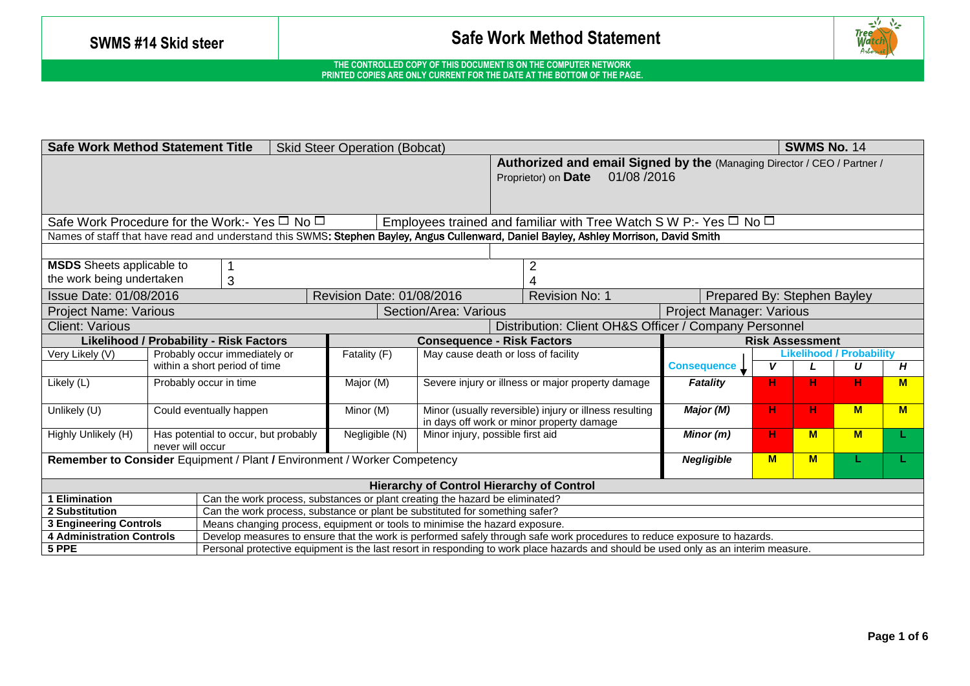

| <b>Safe Work Method Statement Title</b><br><b>Skid Steer Operation (Bobcat)</b><br><b>SWMS No. 14</b>                                  |                  |                                                |                                                                              |                                                                                                                  |                                                                                                              |                                                                                                                                       |                             |              |          |                                 |    |
|----------------------------------------------------------------------------------------------------------------------------------------|------------------|------------------------------------------------|------------------------------------------------------------------------------|------------------------------------------------------------------------------------------------------------------|--------------------------------------------------------------------------------------------------------------|---------------------------------------------------------------------------------------------------------------------------------------|-----------------------------|--------------|----------|---------------------------------|----|
|                                                                                                                                        |                  |                                                |                                                                              |                                                                                                                  | Authorized and email Signed by the (Managing Director / CEO / Partner /<br>01/08/2016<br>Proprietor) on Date |                                                                                                                                       |                             |              |          |                                 |    |
|                                                                                                                                        |                  |                                                |                                                                              |                                                                                                                  |                                                                                                              |                                                                                                                                       |                             |              |          |                                 |    |
| Safe Work Procedure for the Work:- Yes $\Box$ No $\Box$<br>Employees trained and familiar with Tree Watch S W P:- Yes $\Box$ No $\Box$ |                  |                                                |                                                                              |                                                                                                                  |                                                                                                              |                                                                                                                                       |                             |              |          |                                 |    |
|                                                                                                                                        |                  |                                                |                                                                              |                                                                                                                  |                                                                                                              | Names of staff that have read and understand this SWMS: Stephen Bayley, Angus Cullenward, Daniel Bayley, Ashley Morrison, David Smith |                             |              |          |                                 |    |
|                                                                                                                                        |                  |                                                |                                                                              |                                                                                                                  |                                                                                                              |                                                                                                                                       |                             |              |          |                                 |    |
| <b>MSDS</b> Sheets applicable to                                                                                                       |                  |                                                |                                                                              |                                                                                                                  |                                                                                                              | $\overline{2}$                                                                                                                        |                             |              |          |                                 |    |
| the work being undertaken                                                                                                              |                  | 3                                              |                                                                              |                                                                                                                  |                                                                                                              |                                                                                                                                       |                             |              |          |                                 |    |
| Issue Date: 01/08/2016                                                                                                                 |                  |                                                | Revision Date: 01/08/2016                                                    |                                                                                                                  |                                                                                                              | Revision No: 1                                                                                                                        | Prepared By: Stephen Bayley |              |          |                                 |    |
| <b>Project Name: Various</b>                                                                                                           |                  |                                                |                                                                              | Section/Area: Various                                                                                            |                                                                                                              | <b>Project Manager: Various</b>                                                                                                       |                             |              |          |                                 |    |
| <b>Client: Various</b>                                                                                                                 |                  |                                                |                                                                              |                                                                                                                  |                                                                                                              | Distribution: Client OH&S Officer / Company Personnel                                                                                 |                             |              |          |                                 |    |
|                                                                                                                                        |                  | <b>Likelihood / Probability - Risk Factors</b> |                                                                              | <b>Consequence - Risk Factors</b>                                                                                |                                                                                                              |                                                                                                                                       | <b>Risk Assessment</b>      |              |          |                                 |    |
| Very Likely (V)                                                                                                                        |                  | Probably occur immediately or                  | Fatality (F)                                                                 |                                                                                                                  |                                                                                                              | May cause death or loss of facility                                                                                                   |                             |              |          | <b>Likelihood / Probability</b> |    |
|                                                                                                                                        |                  | within a short period of time                  |                                                                              |                                                                                                                  |                                                                                                              |                                                                                                                                       |                             | $\mathsf{v}$ |          | U                               | H  |
| Likely (L)                                                                                                                             |                  | Probably occur in time                         |                                                                              | Major (M)<br>Severe injury or illness or major property damage                                                   |                                                                                                              |                                                                                                                                       |                             | H.           | н        | н                               | M  |
| Unlikely (U)                                                                                                                           |                  | Could eventually happen                        |                                                                              | Minor (M)<br>Minor (usually reversible) injury or illness resulting<br>in days off work or minor property damage |                                                                                                              |                                                                                                                                       |                             | н.           | н        | M                               | M  |
| Highly Unlikely (H)                                                                                                                    | never will occur | Has potential to occur, but probably           |                                                                              | Negligible (N)<br>Minor injury, possible first aid                                                               |                                                                                                              |                                                                                                                                       |                             | н.           | <b>M</b> | M                               | L. |
| Remember to Consider Equipment / Plant / Environment / Worker Competency                                                               |                  |                                                |                                                                              |                                                                                                                  |                                                                                                              |                                                                                                                                       | <b>Negligible</b>           | M            | M        |                                 |    |
| <b>Hierarchy of Control Hierarchy of Control</b>                                                                                       |                  |                                                |                                                                              |                                                                                                                  |                                                                                                              |                                                                                                                                       |                             |              |          |                                 |    |
| Elimination                                                                                                                            |                  |                                                | Can the work process, substances or plant creating the hazard be eliminated? |                                                                                                                  |                                                                                                              |                                                                                                                                       |                             |              |          |                                 |    |
| 2 Substitution                                                                                                                         |                  |                                                | Can the work process, substance or plant be substituted for something safer? |                                                                                                                  |                                                                                                              |                                                                                                                                       |                             |              |          |                                 |    |
| <b>3 Engineering Controls</b>                                                                                                          |                  |                                                | Means changing process, equipment or tools to minimise the hazard exposure.  |                                                                                                                  |                                                                                                              |                                                                                                                                       |                             |              |          |                                 |    |
| <b>4 Administration Controls</b>                                                                                                       |                  |                                                |                                                                              |                                                                                                                  |                                                                                                              | Develop measures to ensure that the work is performed safely through safe work procedures to reduce exposure to hazards.              |                             |              |          |                                 |    |
| 5 PPE                                                                                                                                  |                  |                                                |                                                                              |                                                                                                                  |                                                                                                              | Personal protective equipment is the last resort in responding to work place hazards and should be used only as an interim measure.   |                             |              |          |                                 |    |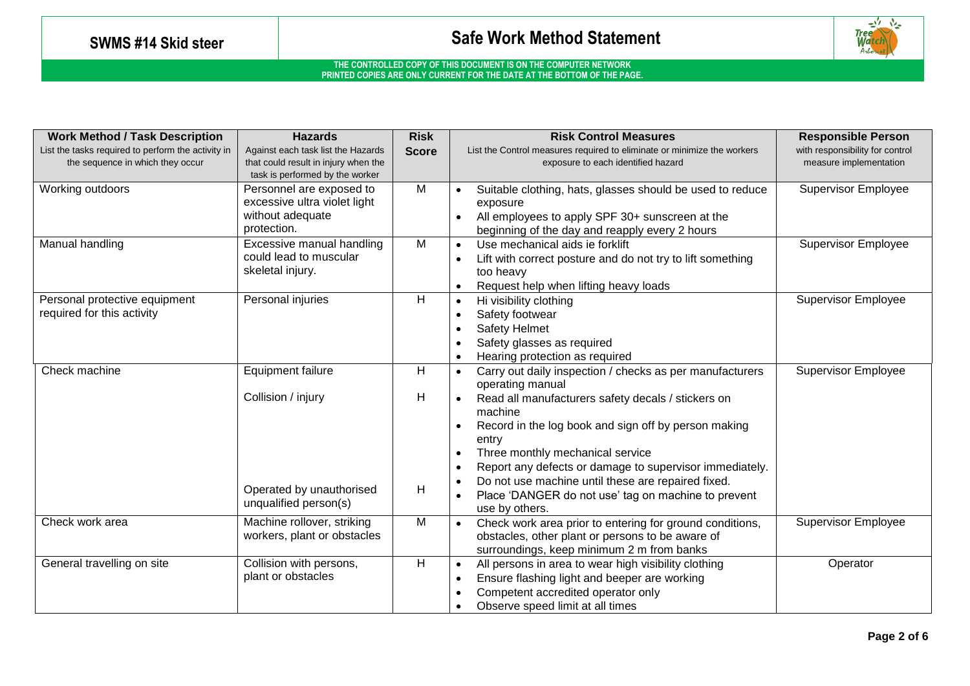

| <b>Work Method / Task Description</b>                       | <b>Hazards</b>                                                                              | <b>Risk</b>    | <b>Risk Control Measures</b>                                                                                                                                                                                                                                         | <b>Responsible Person</b>       |
|-------------------------------------------------------------|---------------------------------------------------------------------------------------------|----------------|----------------------------------------------------------------------------------------------------------------------------------------------------------------------------------------------------------------------------------------------------------------------|---------------------------------|
| List the tasks required to perform the activity in          | Against each task list the Hazards                                                          | <b>Score</b>   | List the Control measures required to eliminate or minimize the workers                                                                                                                                                                                              | with responsibility for control |
| the sequence in which they occur                            | that could result in injury when the<br>task is performed by the worker                     |                | exposure to each identified hazard                                                                                                                                                                                                                                   | measure implementation          |
| Working outdoors                                            | Personnel are exposed to<br>excessive ultra violet light<br>without adequate<br>protection. | M              | Suitable clothing, hats, glasses should be used to reduce<br>$\bullet$<br>exposure<br>All employees to apply SPF 30+ sunscreen at the<br>beginning of the day and reapply every 2 hours                                                                              | <b>Supervisor Employee</b>      |
| Manual handling                                             | Excessive manual handling<br>could lead to muscular<br>skeletal injury.                     | $\overline{M}$ | Use mechanical aids ie forklift<br>$\bullet$<br>Lift with correct posture and do not try to lift something<br>$\bullet$<br>too heavy<br>Request help when lifting heavy loads<br>$\bullet$                                                                           | <b>Supervisor Employee</b>      |
| Personal protective equipment<br>required for this activity | Personal injuries                                                                           | H              | Hi visibility clothing<br>$\bullet$<br>Safety footwear<br>$\bullet$<br><b>Safety Helmet</b><br>$\bullet$<br>Safety glasses as required<br>Hearing protection as required<br>$\bullet$                                                                                | <b>Supervisor Employee</b>      |
| Check machine                                               | <b>Equipment failure</b><br>Collision / injury                                              | H<br>H         | Carry out daily inspection / checks as per manufacturers<br>$\bullet$<br>operating manual<br>Read all manufacturers safety decals / stickers on                                                                                                                      | <b>Supervisor Employee</b>      |
|                                                             |                                                                                             |                | machine<br>Record in the log book and sign off by person making<br>$\bullet$<br>entry<br>Three monthly mechanical service<br>$\bullet$<br>Report any defects or damage to supervisor immediately.<br>$\bullet$<br>Do not use machine until these are repaired fixed. |                                 |
|                                                             | Operated by unauthorised<br>unqualified person(s)                                           | Н              | $\bullet$<br>Place 'DANGER do not use' tag on machine to prevent<br>$\bullet$<br>use by others.                                                                                                                                                                      |                                 |
| Check work area                                             | Machine rollover, striking<br>workers, plant or obstacles                                   | M              | Check work area prior to entering for ground conditions,<br>obstacles, other plant or persons to be aware of<br>surroundings, keep minimum 2 m from banks                                                                                                            | <b>Supervisor Employee</b>      |
| General travelling on site                                  | Collision with persons,<br>plant or obstacles                                               | H              | All persons in area to wear high visibility clothing<br>$\bullet$<br>Ensure flashing light and beeper are working<br>$\bullet$<br>Competent accredited operator only<br>$\bullet$<br>Observe speed limit at all times<br>$\bullet$                                   | Operator                        |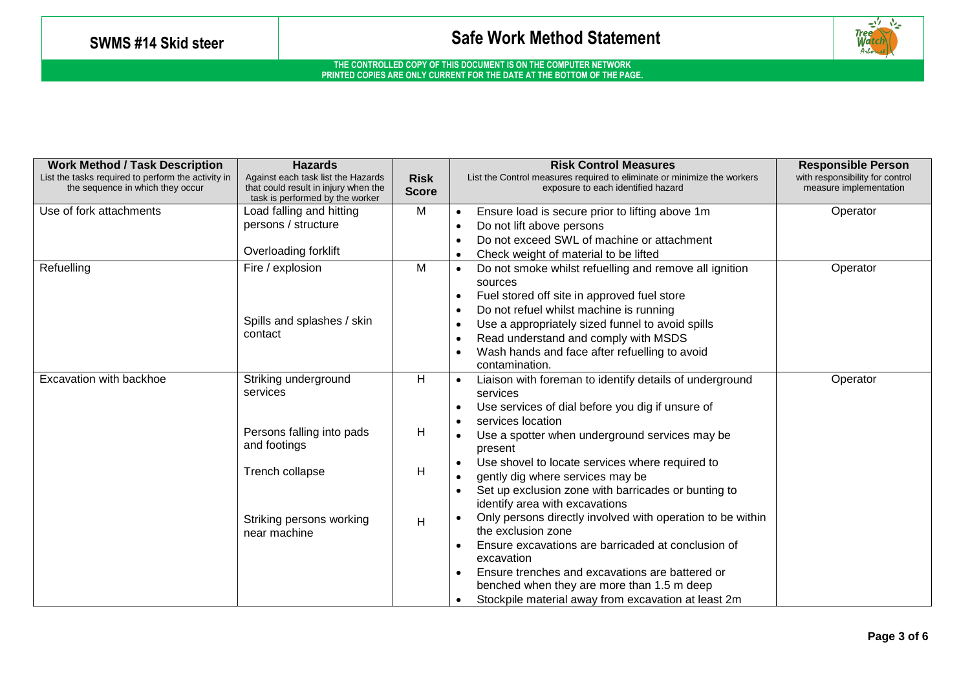

| <b>Work Method / Task Description</b>                                                  | <b>Hazards</b>                                                                                                |                             | <b>Risk Control Measures</b>                                                                                  | <b>Responsible Person</b>                                 |
|----------------------------------------------------------------------------------------|---------------------------------------------------------------------------------------------------------------|-----------------------------|---------------------------------------------------------------------------------------------------------------|-----------------------------------------------------------|
| List the tasks required to perform the activity in<br>the sequence in which they occur | Against each task list the Hazards<br>that could result in injury when the<br>task is performed by the worker | <b>Risk</b><br><b>Score</b> | List the Control measures required to eliminate or minimize the workers<br>exposure to each identified hazard | with responsibility for control<br>measure implementation |
| Use of fork attachments                                                                | Load falling and hitting                                                                                      | M                           | Ensure load is secure prior to lifting above 1m<br>$\bullet$                                                  | Operator                                                  |
|                                                                                        | persons / structure                                                                                           |                             | Do not lift above persons                                                                                     |                                                           |
|                                                                                        |                                                                                                               |                             | Do not exceed SWL of machine or attachment<br>$\bullet$                                                       |                                                           |
|                                                                                        | Overloading forklift                                                                                          |                             | Check weight of material to be lifted<br>$\bullet$                                                            |                                                           |
| Refuelling                                                                             | Fire / explosion                                                                                              | M                           | Do not smoke whilst refuelling and remove all ignition<br>$\bullet$                                           | Operator                                                  |
|                                                                                        |                                                                                                               |                             | sources                                                                                                       |                                                           |
|                                                                                        |                                                                                                               |                             | Fuel stored off site in approved fuel store                                                                   |                                                           |
|                                                                                        |                                                                                                               |                             | Do not refuel whilst machine is running                                                                       |                                                           |
|                                                                                        | Spills and splashes / skin                                                                                    |                             | Use a appropriately sized funnel to avoid spills<br>$\bullet$                                                 |                                                           |
|                                                                                        | contact                                                                                                       |                             | Read understand and comply with MSDS<br>$\bullet$                                                             |                                                           |
|                                                                                        |                                                                                                               |                             | Wash hands and face after refuelling to avoid                                                                 |                                                           |
|                                                                                        |                                                                                                               |                             | contamination.                                                                                                |                                                           |
| Excavation with backhoe                                                                | Striking underground                                                                                          | H                           | Liaison with foreman to identify details of underground<br>$\bullet$                                          | Operator                                                  |
|                                                                                        | services                                                                                                      |                             | services                                                                                                      |                                                           |
|                                                                                        |                                                                                                               |                             | Use services of dial before you dig if unsure of<br>$\bullet$                                                 |                                                           |
|                                                                                        |                                                                                                               |                             | services location<br>$\bullet$                                                                                |                                                           |
|                                                                                        | Persons falling into pads                                                                                     | H                           | Use a spotter when underground services may be                                                                |                                                           |
|                                                                                        | and footings                                                                                                  |                             | present                                                                                                       |                                                           |
|                                                                                        |                                                                                                               |                             | Use shovel to locate services where required to                                                               |                                                           |
|                                                                                        | Trench collapse                                                                                               | H                           | gently dig where services may be                                                                              |                                                           |
|                                                                                        |                                                                                                               |                             | Set up exclusion zone with barricades or bunting to                                                           |                                                           |
|                                                                                        |                                                                                                               |                             | identify area with excavations                                                                                |                                                           |
|                                                                                        | Striking persons working                                                                                      | H                           | Only persons directly involved with operation to be within                                                    |                                                           |
|                                                                                        | near machine                                                                                                  |                             | the exclusion zone                                                                                            |                                                           |
|                                                                                        |                                                                                                               |                             | Ensure excavations are barricaded at conclusion of                                                            |                                                           |
|                                                                                        |                                                                                                               |                             | excavation                                                                                                    |                                                           |
|                                                                                        |                                                                                                               |                             | Ensure trenches and excavations are battered or                                                               |                                                           |
|                                                                                        |                                                                                                               |                             | benched when they are more than 1.5 m deep                                                                    |                                                           |
|                                                                                        |                                                                                                               |                             | Stockpile material away from excavation at least 2m<br>$\bullet$                                              |                                                           |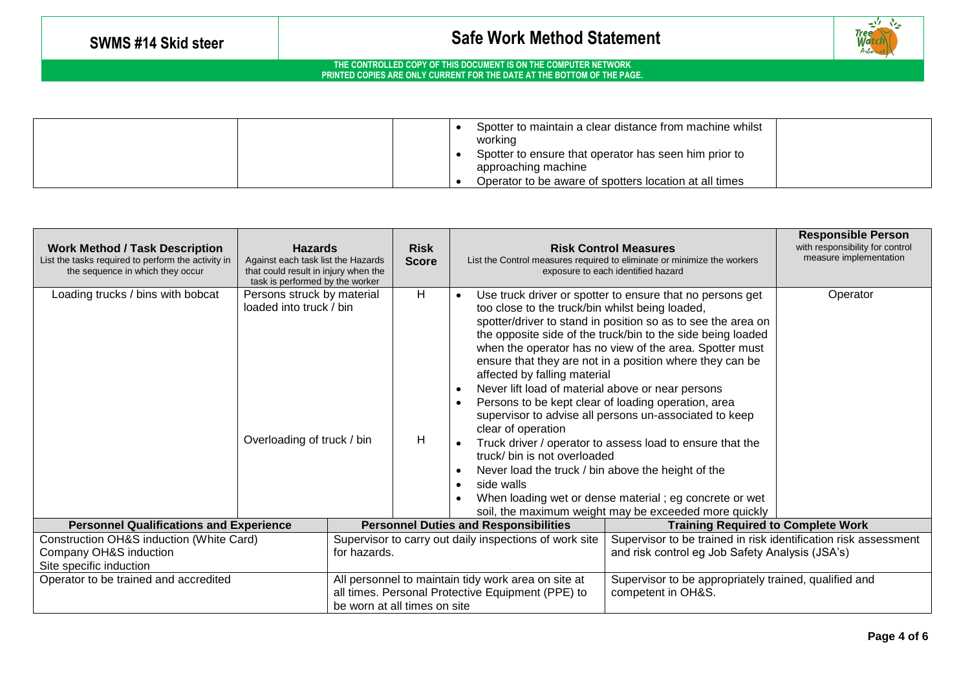

|  | Spotter to maintain a clear distance from machine whilst<br>working          |  |
|--|------------------------------------------------------------------------------|--|
|  | Spotter to ensure that operator has seen him prior to<br>approaching machine |  |
|  | Operator to be aware of spotters location at all times                       |  |

| <b>Work Method / Task Description</b><br>List the tasks required to perform the activity in<br>the sequence in which they occur | <b>Hazards</b><br>Against each task list the Hazards<br>that could result in injury when the<br>task is performed by the worker |                                                                                                                                          | <b>Risk</b><br><b>Score</b> |                                                               |                                                                                                                                                                                                                                                                                                                       | <b>Risk Control Measures</b><br>List the Control measures required to eliminate or minimize the workers<br>exposure to each identified hazard                                                                                                                                                                                                                                                                                                                                                                                                             | <b>Responsible Person</b><br>with responsibility for control<br>measure implementation |
|---------------------------------------------------------------------------------------------------------------------------------|---------------------------------------------------------------------------------------------------------------------------------|------------------------------------------------------------------------------------------------------------------------------------------|-----------------------------|---------------------------------------------------------------|-----------------------------------------------------------------------------------------------------------------------------------------------------------------------------------------------------------------------------------------------------------------------------------------------------------------------|-----------------------------------------------------------------------------------------------------------------------------------------------------------------------------------------------------------------------------------------------------------------------------------------------------------------------------------------------------------------------------------------------------------------------------------------------------------------------------------------------------------------------------------------------------------|----------------------------------------------------------------------------------------|
| Loading trucks / bins with bobcat                                                                                               | Persons struck by material<br>loaded into truck / bin<br>Overloading of truck / bin                                             |                                                                                                                                          | H<br>H                      | $\bullet$<br>$\bullet$<br>$\bullet$<br>$\bullet$<br>$\bullet$ | too close to the truck/bin whilst being loaded,<br>affected by falling material<br>Never lift load of material above or near persons<br>Persons to be kept clear of loading operation, area<br>clear of operation<br>truck/ bin is not overloaded<br>Never load the truck / bin above the height of the<br>side walls | Use truck driver or spotter to ensure that no persons get<br>spotter/driver to stand in position so as to see the area on<br>the opposite side of the truck/bin to the side being loaded<br>when the operator has no view of the area. Spotter must<br>ensure that they are not in a position where they can be<br>supervisor to advise all persons un-associated to keep<br>Truck driver / operator to assess load to ensure that the<br>When loading wet or dense material; eg concrete or wet<br>soil, the maximum weight may be exceeded more quickly | Operator                                                                               |
| <b>Personnel Qualifications and Experience</b>                                                                                  | <b>Personnel Duties and Responsibilities</b>                                                                                    |                                                                                                                                          |                             |                                                               | <b>Training Required to Complete Work</b>                                                                                                                                                                                                                                                                             |                                                                                                                                                                                                                                                                                                                                                                                                                                                                                                                                                           |                                                                                        |
| Construction OH&S induction (White Card)                                                                                        | Supervisor to carry out daily inspections of work site                                                                          |                                                                                                                                          |                             |                                                               | Supervisor to be trained in risk identification risk assessment                                                                                                                                                                                                                                                       |                                                                                                                                                                                                                                                                                                                                                                                                                                                                                                                                                           |                                                                                        |
| Company OH&S induction<br>Site specific induction                                                                               |                                                                                                                                 | for hazards.                                                                                                                             |                             |                                                               | and risk control eg Job Safety Analysis (JSA's)                                                                                                                                                                                                                                                                       |                                                                                                                                                                                                                                                                                                                                                                                                                                                                                                                                                           |                                                                                        |
| Operator to be trained and accredited                                                                                           |                                                                                                                                 | All personnel to maintain tidy work area on site at<br>all times. Personal Protective Equipment (PPE) to<br>be worn at all times on site |                             |                                                               |                                                                                                                                                                                                                                                                                                                       | Supervisor to be appropriately trained, qualified and<br>competent in OH&S.                                                                                                                                                                                                                                                                                                                                                                                                                                                                               |                                                                                        |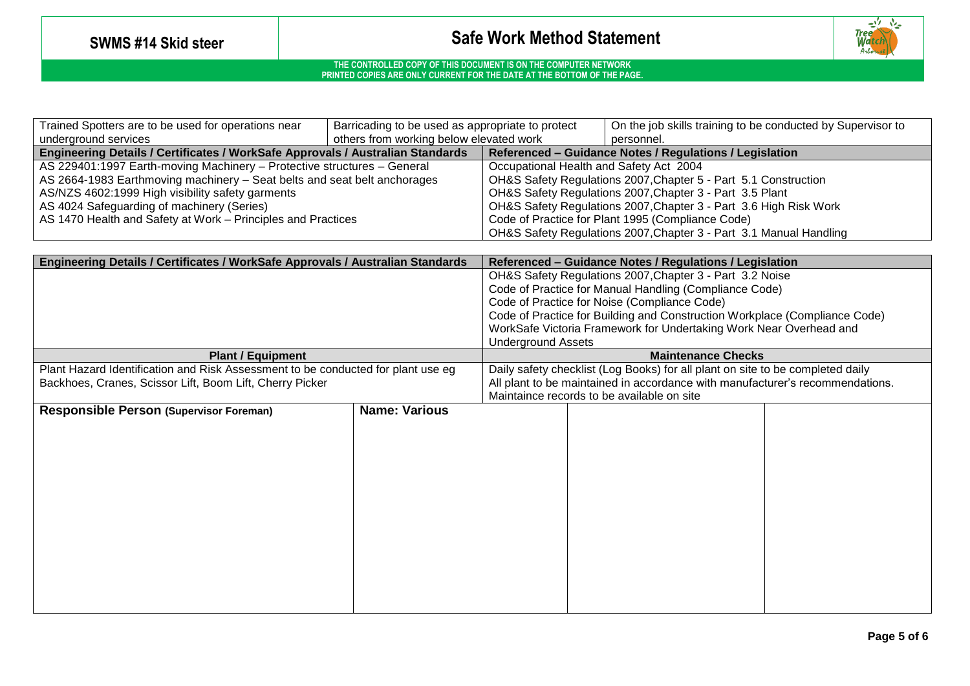

| Trained Spotters are to be used for operations near                            | Barricading to be used as appropriate to protect |                                                                    | On the job skills training to be conducted by Supervisor to |  |  |
|--------------------------------------------------------------------------------|--------------------------------------------------|--------------------------------------------------------------------|-------------------------------------------------------------|--|--|
| underground services                                                           | others from working below elevated work          |                                                                    | personnel.                                                  |  |  |
| Engineering Details / Certificates / WorkSafe Approvals / Australian Standards |                                                  | Referenced – Guidance Notes / Regulations / Legislation            |                                                             |  |  |
| AS 229401:1997 Earth-moving Machinery - Protective structures - General        |                                                  | Occupational Health and Safety Act 2004                            |                                                             |  |  |
| AS 2664-1983 Earthmoving machinery - Seat belts and seat belt anchorages       |                                                  | OH&S Safety Regulations 2007, Chapter 5 - Part 5.1 Construction    |                                                             |  |  |
| AS/NZS 4602:1999 High visibility safety garments                               |                                                  | OH&S Safety Regulations 2007, Chapter 3 - Part 3.5 Plant           |                                                             |  |  |
| AS 4024 Safeguarding of machinery (Series)                                     |                                                  | OH&S Safety Regulations 2007, Chapter 3 - Part 3.6 High Risk Work  |                                                             |  |  |
| AS 1470 Health and Safety at Work – Principles and Practices                   |                                                  | Code of Practice for Plant 1995 (Compliance Code)                  |                                                             |  |  |
|                                                                                |                                                  | OH&S Safety Regulations 2007, Chapter 3 - Part 3.1 Manual Handling |                                                             |  |  |

| Engineering Details / Certificates / WorkSafe Approvals / Australian Standards   |                      |                                                                            | Referenced - Guidance Notes / Regulations / Legislation                        |  |  |
|----------------------------------------------------------------------------------|----------------------|----------------------------------------------------------------------------|--------------------------------------------------------------------------------|--|--|
|                                                                                  |                      | OH&S Safety Regulations 2007, Chapter 3 - Part 3.2 Noise                   |                                                                                |  |  |
|                                                                                  |                      | Code of Practice for Manual Handling (Compliance Code)                     |                                                                                |  |  |
|                                                                                  |                      |                                                                            | Code of Practice for Noise (Compliance Code)                                   |  |  |
|                                                                                  |                      | Code of Practice for Building and Construction Workplace (Compliance Code) |                                                                                |  |  |
|                                                                                  |                      | WorkSafe Victoria Framework for Undertaking Work Near Overhead and         |                                                                                |  |  |
|                                                                                  |                      | <b>Underground Assets</b>                                                  |                                                                                |  |  |
| <b>Plant / Equipment</b>                                                         |                      |                                                                            | <b>Maintenance Checks</b>                                                      |  |  |
| Plant Hazard Identification and Risk Assessment to be conducted for plant use eg |                      |                                                                            | Daily safety checklist (Log Books) for all plant on site to be completed daily |  |  |
| Backhoes, Cranes, Scissor Lift, Boom Lift, Cherry Picker                         |                      |                                                                            | All plant to be maintained in accordance with manufacturer's recommendations.  |  |  |
|                                                                                  |                      |                                                                            | Maintaince records to be available on site                                     |  |  |
| <b>Responsible Person (Supervisor Foreman)</b>                                   | <b>Name: Various</b> |                                                                            |                                                                                |  |  |
|                                                                                  |                      |                                                                            |                                                                                |  |  |
|                                                                                  |                      |                                                                            |                                                                                |  |  |
|                                                                                  |                      |                                                                            |                                                                                |  |  |
|                                                                                  |                      |                                                                            |                                                                                |  |  |
|                                                                                  |                      |                                                                            |                                                                                |  |  |
|                                                                                  |                      |                                                                            |                                                                                |  |  |
|                                                                                  |                      |                                                                            |                                                                                |  |  |
|                                                                                  |                      |                                                                            |                                                                                |  |  |
|                                                                                  |                      |                                                                            |                                                                                |  |  |
|                                                                                  |                      |                                                                            |                                                                                |  |  |
|                                                                                  |                      |                                                                            |                                                                                |  |  |
|                                                                                  |                      |                                                                            |                                                                                |  |  |
|                                                                                  |                      |                                                                            |                                                                                |  |  |
|                                                                                  |                      |                                                                            |                                                                                |  |  |
|                                                                                  |                      |                                                                            |                                                                                |  |  |
|                                                                                  |                      |                                                                            |                                                                                |  |  |